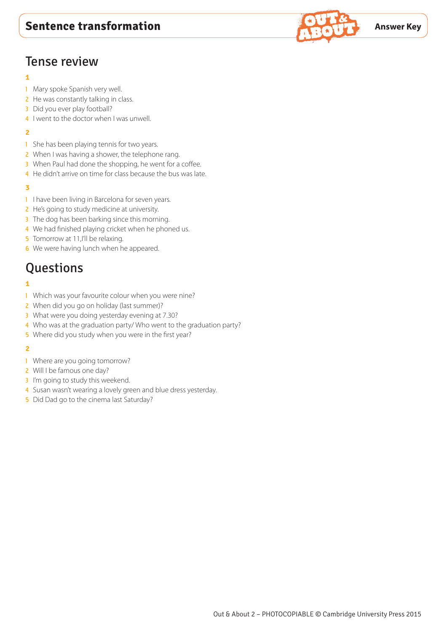

# Tense review

#### **1**

- 1 Mary spoke Spanish very well.
- 2 He was constantly talking in class.
- 3 Did you ever play football?
- 4 I went to the doctor when I was unwell.

#### **2**

- 1 She has been playing tennis for two years.
- 2 When I was having a shower, the telephone rang.
- 3 When Paul had done the shopping, he went for a coffee.
- 4 He didn't arrive on time for class because the bus was late.

#### **3**

- 1 I have been living in Barcelona for seven years.
- 2 He's going to study medicine at university.
- 3 The dog has been barking since this morning.
- 4 We had finished playing cricket when he phoned us.
- 5 Tomorrow at 11, I'll be relaxing.
- **6** We were having lunch when he appeared.

# **Questions**

### **1**

- 1 Which was your favourite colour when you were nine?
- 2 When did you go on holiday (last summer)?
- 3 What were you doing yesterday evening at 7.30?
- 4 Who was at the graduation party/ Who went to the graduation party?
- 5 Where did you study when you were in the first year?

- 1 Where are you going tomorrow?
- 2 Will I be famous one day?
- 3 I'm going to study this weekend.
- 4 Susan wasn't wearing a lovely green and blue dress yesterday.
- 5 Did Dad go to the cinema last Saturday?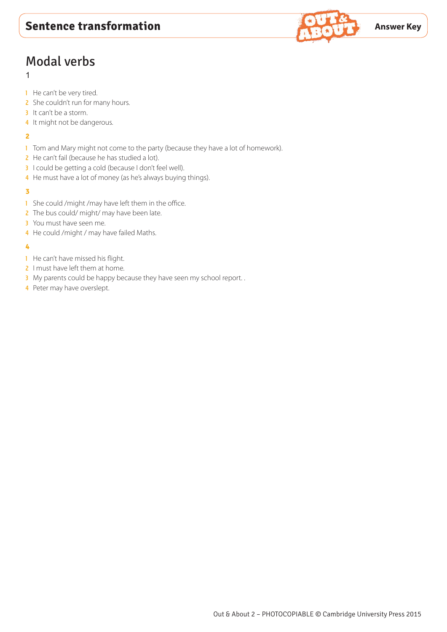

# Modal verbs

## 1

- 1 He can't be very tired.
- 2 She couldn't run for many hours.
- 3 It can't be a storm.
- 4 It might not be dangerous.

#### **2**

- 1 Tom and Mary might not come to the party (because they have a lot of homework).
- 2 He can't fail (because he has studied a lot).
- 3 I could be getting a cold (because I don't feel well).
- 4 He must have a lot of money (as he's always buying things).

### **3**

- 1 She could / might / may have left them in the office.
- 2 The bus could/ might/ may have been late.
- 3 You must have seen me.
- 4 He could / might / may have failed Maths.

- 1 He can't have missed his flight.
- 2 I must have left them at home.
- 3 My parents could be happy because they have seen my school report..
- 4 Peter may have overslept.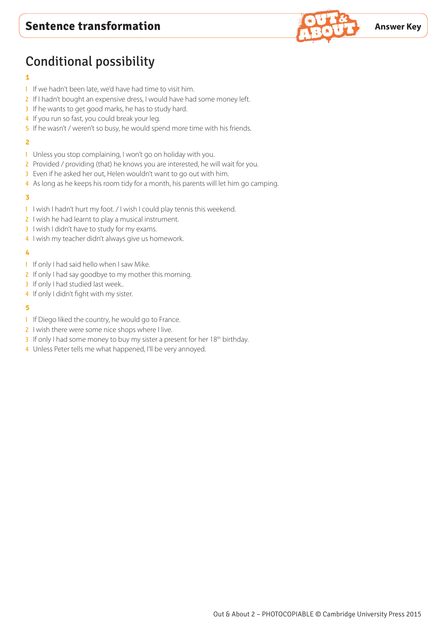

# Conditional possibility

### **1**

- 1 If we hadn't been late, we'd have had time to visit him.
- 2 If I hadn't bought an expensive dress, I would have had some money left.
- 3 If he wants to get good marks, he has to study hard.
- 4 If you run so fast, you could break your leg.
- 5 If he wasn't / weren't so busy, he would spend more time with his friends.

### **2**

- 1 Unless you stop complaining, I won't go on holiday with you.
- 2 Provided / providing (that) he knows you are interested, he will wait for you.
- 3 Even if he asked her out, Helen wouldn't want to go out with him.
- 4 As long as he keeps his room tidy for a month, his parents will let him go camping.

#### **3**

- 1 I wish I hadn't hurt my foot. / I wish I could play tennis this weekend.
- 2 I wish he had learnt to play a musical instrument.
- 3 I wish I didn't have to study for my exams.
- 4 I wish my teacher didn't always give us homework.

#### **4**

- 1 If only I had said hello when I saw Mike.
- 2 If only I had say goodbye to my mother this morning.
- 3 If only I had studied last week...
- 4 If only I didn't fight with my sister.

- 1 If Diego liked the country, he would go to France.
- 2 I wish there were some nice shops where I live.
- 3 If only I had some money to buy my sister a present for her  $18<sup>th</sup>$  birthday.
- 4 Unless Peter tells me what happened, I'll be very annoyed.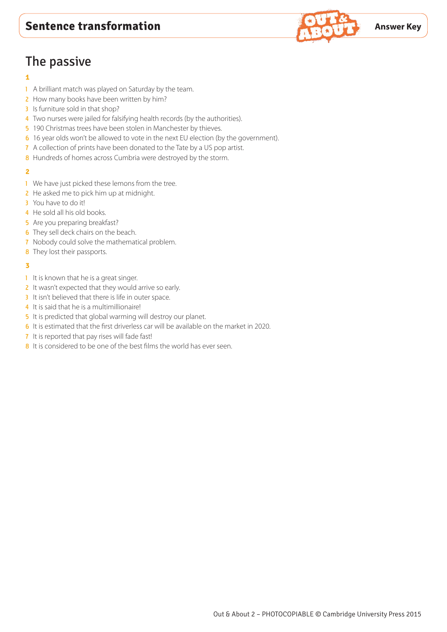# The passive

## **1**

- 1 A brilliant match was played on Saturday by the team.
- 2 How many books have been written by him?
- 3 Is furniture sold in that shop?
- 4 Two nurses were jailed for falsifying health records (by the authorities).
- 5 190 Christmas trees have been stolen in Manchester by thieves.
- 6 16 year olds won't be allowed to vote in the next EU election (by the government).
- 7 A collection of prints have been donated to the Tate by a US pop artist.
- 8 Hundreds of homes across Cumbria were destroyed by the storm.

#### **2**

- 1 We have just picked these lemons from the tree.
- 2 He asked me to pick him up at midnight.
- 3 You have to do it!
- 4 He sold all his old books.
- 5 Are you preparing breakfast?
- **6** They sell deck chairs on the beach.
- 7 Nobody could solve the mathematical problem.
- 8 They lost their passports.

- 1 It is known that he is a great singer.
- 2 It wasn't expected that they would arrive so early.
- 3 It isn't believed that there is life in outer space.
- 4 It is said that he is a multimillionaire!
- 5 It is predicted that global warming will destroy our planet.
- 6 It is estimated that the first driverless car will be available on the market in 2020.
- 7 It is reported that pay rises will fade fast!
- 8 It is considered to be one of the best films the world has ever seen.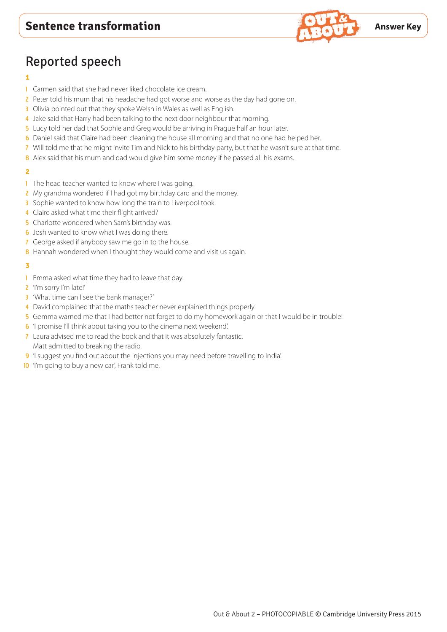

# Reported speech

### **1**

- 1 Carmen said that she had never liked chocolate ice cream.
- 2 Peter told his mum that his headache had got worse and worse as the day had gone on.
- 3 Olivia pointed out that they spoke Welsh in Wales as well as English.
- 4 Jake said that Harry had been talking to the next door neighbour that morning.
- 5 Lucy told her dad that Sophie and Greg would be arriving in Prague half an hour later.
- 6 Daniel said that Claire had been cleaning the house all morning and that no one had helped her.
- 7 Will told me that he might invite Tim and Nick to his birthday party, but that he wasn't sure at that time.
- 8 Alex said that his mum and dad would give him some money if he passed all his exams.

#### **2**

- 1 The head teacher wanted to know where I was going.
- 2 My grandma wondered if I had got my birthday card and the money.
- 3 Sophie wanted to know how long the train to Liverpool took.
- 4 Claire asked what time their flight arrived?
- **5** Charlotte wondered when Sam's birthday was.
- **6** Josh wanted to know what I was doing there.
- 7 George asked if anybody saw me go in to the house.
- 8 Hannah wondered when I thought they would come and visit us again.

- 1 Emma asked what time they had to leave that day.
- 2 'I'm sorry I'm late!'
- 3 'What time can I see the bank manager?'
- 4 David complained that the maths teacher never explained things properly.
- 5 Gemma warned me that I had better not forget to do my homework again or that I would be in trouble!
- 6 'I promise I'll think about taking you to the cinema next weekend'.
- 7 Laura advised me to read the book and that it was absolutely fantastic. Matt admitted to breaking the radio.
- 9 'I suggest you find out about the injections you may need before travelling to India'.
- 10 'I'm going to buy a new car', Frank told me.